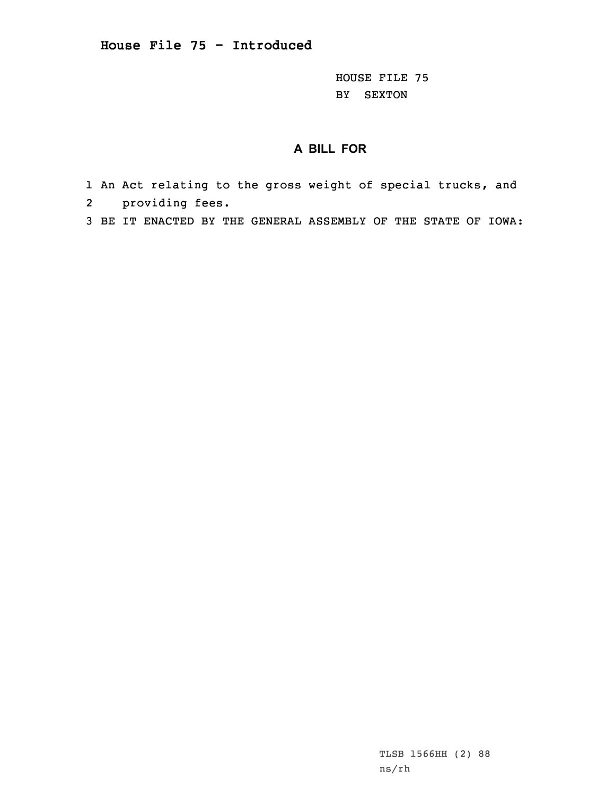HOUSE FILE 75 BY SEXTON

## **A BILL FOR**

- 1 An Act relating to the gross weight of special trucks, and 2 providing fees.
- 3 BE IT ENACTED BY THE GENERAL ASSEMBLY OF THE STATE OF IOWA:

TLSB 1566HH (2) 88 ns/rh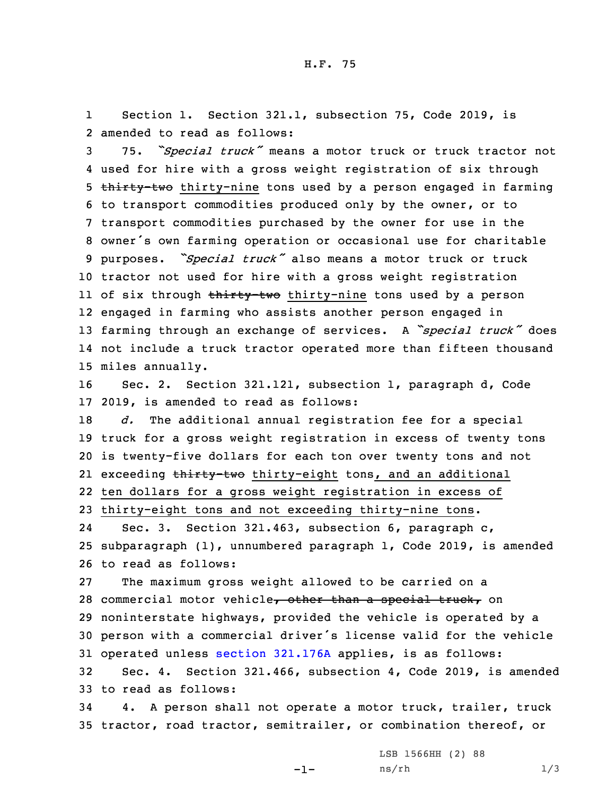1 Section 1. Section 321.1, subsection 75, Code 2019, is 2 amended to read as follows:

 75. *"Special truck"* means <sup>a</sup> motor truck or truck tractor not used for hire with <sup>a</sup> gross weight registration of six through 5 thirty-two thirty-nine tons used by a person engaged in farming to transport commodities produced only by the owner, or to transport commodities purchased by the owner for use in the owner's own farming operation or occasional use for charitable purposes. *"Special truck"* also means <sup>a</sup> motor truck or truck tractor not used for hire with <sup>a</sup> gross weight registration ll of six through <del>thirty-two</del> thirty-nine tons used by a person engaged in farming who assists another person engaged in farming through an exchange of services. <sup>A</sup> *"special truck"* does not include <sup>a</sup> truck tractor operated more than fifteen thousand miles annually.

16 Sec. 2. Section 321.121, subsection 1, paragraph d, Code 17 2019, is amended to read as follows:

 *d.* The additional annual registration fee for <sup>a</sup> special truck for <sup>a</sup> gross weight registration in excess of twenty tons is twenty-five dollars for each ton over twenty tons and not 21 exceeding <del>thirty-two</del> thirty-eight tons, and an additional ten dollars for <sup>a</sup> gross weight registration in excess of thirty-eight tons and not exceeding thirty-nine tons.

24 Sec. 3. Section 321.463, subsection 6, paragraph c, 25 subparagraph (1), unnumbered paragraph 1, Code 2019, is amended 26 to read as follows:

 The maximum gross weight allowed to be carried on <sup>a</sup> 28 commercial motor vehicle, other than a special truck, on noninterstate highways, provided the vehicle is operated by <sup>a</sup> person with <sup>a</sup> commercial driver's license valid for the vehicle operated unless section [321.176A](https://www.legis.iowa.gov/docs/code/2019/321.176A.pdf) applies, is as follows: Sec. 4. Section 321.466, subsection 4, Code 2019, is amended

33 to read as follows:

34 4. <sup>A</sup> person shall not operate <sup>a</sup> motor truck, trailer, truck 35 tractor, road tractor, semitrailer, or combination thereof, or

 $-1-$ 

LSB 1566HH (2) 88  $ns/rh$  1/3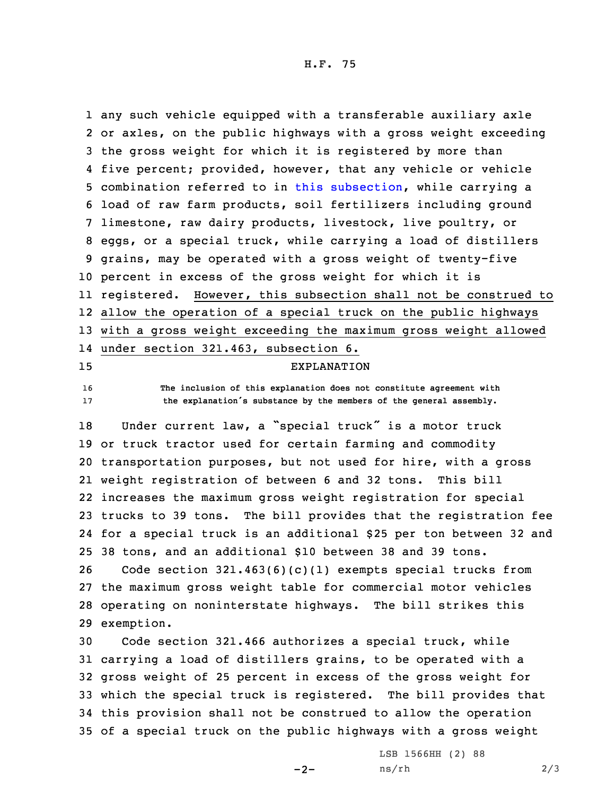H.F. 75

 any such vehicle equipped with <sup>a</sup> transferable auxiliary axle or axles, on the public highways with <sup>a</sup> gross weight exceeding the gross weight for which it is registered by more than five percent; provided, however, that any vehicle or vehicle combination referred to in this [subsection](https://www.legis.iowa.gov/docs/code/2019/321.466.pdf), while carrying <sup>a</sup> load of raw farm products, soil fertilizers including ground limestone, raw dairy products, livestock, live poultry, or eggs, or <sup>a</sup> special truck, while carrying <sup>a</sup> load of distillers grains, may be operated with <sup>a</sup> gross weight of twenty-five percent in excess of the gross weight for which it is registered. However, this subsection shall not be construed to allow the operation of <sup>a</sup> special truck on the public highways with <sup>a</sup> gross weight exceeding the maximum gross weight allowed under section 321.463, subsection 6. EXPLANATION **The inclusion of this explanation does not constitute agreement with the explanation's substance by the members of the general assembly.** Under current law, <sup>a</sup> "special truck" is <sup>a</sup> motor truck or truck tractor used for certain farming and commodity transportation purposes, but not used for hire, with <sup>a</sup> gross weight registration of between 6 and 32 tons. This bill increases the maximum gross weight registration for special trucks to 39 tons. The bill provides that the registration fee for <sup>a</sup> special truck is an additional \$25 per ton between 32 and 38 tons, and an additional \$10 between 38 and 39 tons. Code section 321.463(6)(c)(1) exempts special trucks from the maximum gross weight table for commercial motor vehicles operating on noninterstate highways. The bill strikes this exemption. Code section 321.466 authorizes <sup>a</sup> special truck, while

 carrying <sup>a</sup> load of distillers grains, to be operated with <sup>a</sup> gross weight of 25 percent in excess of the gross weight for which the special truck is registered. The bill provides that this provision shall not be construed to allow the operation of <sup>a</sup> special truck on the public highways with <sup>a</sup> gross weight

 $-2-$ 

LSB 1566HH (2) 88  $ns/rh$  2/3